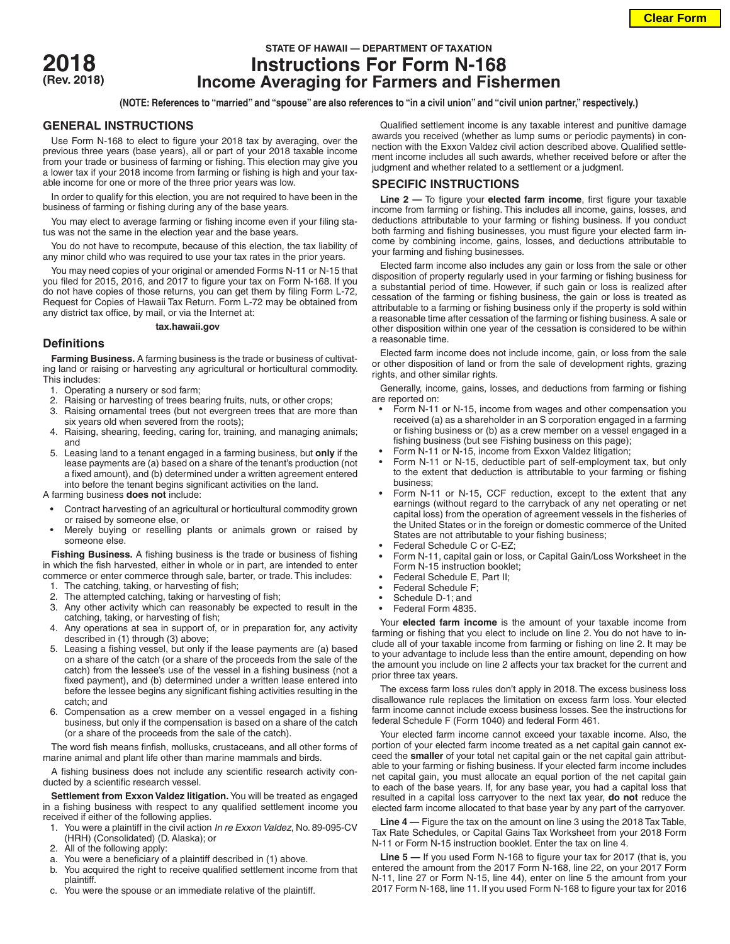

# **STATE OF HAWAII — DEPARTMENT OF TAXATION 2018 Instructions For Form N-168 (Rev. 2018) Income Averaging for Farmers and Fishermen**

**(NOTE: References to "married" and "spouse" are also references to "in a civil union" and "civil union partner," respectively.)**

### **GENERAL INSTRUCTIONS**

Use Form N-168 to elect to figure your 2018 tax by averaging, over the previous three years (base years), all or part of your 2018 taxable income from your trade or business of farming or fishing. This election may give you a lower tax if your 2018 income from farming or fishing is high and your taxable income for one or more of the three prior years was low.

In order to qualify for this election, you are not required to have been in the business of farming or fishing during any of the base years.

You may elect to average farming or fishing income even if your filing status was not the same in the election year and the base years.

You do not have to recompute, because of this election, the tax liability of any minor child who was required to use your tax rates in the prior years.

You may need copies of your original or amended Forms N-11 or N-15 that you filed for 2015, 2016, and 2017 to figure your tax on Form N-168. If you do not have copies of those returns, you can get them by filing Form L-72, Request for Copies of Hawaii Tax Return. Form L-72 may be obtained from any district tax office, by mail, or via the Internet at:

#### **tax.hawaii.gov**

## **Definitions**

**Farming Business.** A farming business is the trade or business of cultivating land or raising or harvesting any agricultural or horticultural commodity. This includes:

- 1. Operating a nursery or sod farm;
- 2. Raising or harvesting of trees bearing fruits, nuts, or other crops;
- 3. Raising ornamental trees (but not evergreen trees that are more than six years old when severed from the roots);
- 4. Raising, shearing, feeding, caring for, training, and managing animals; and
- 5. Leasing land to a tenant engaged in a farming business, but **only** if the lease payments are (a) based on a share of the tenant's production (not a fixed amount), and (b) determined under a written agreement entered into before the tenant begins significant activities on the land.

A farming business **does not** include:

- Contract harvesting of an agricultural or horticultural commodity grown or raised by someone else, or
- Merely buying or reselling plants or animals grown or raised by someone else.

**Fishing Business.** A fishing business is the trade or business of fishing in which the fish harvested, either in whole or in part, are intended to enter commerce or enter commerce through sale, barter, or trade. This includes:

- 1. The catching, taking, or harvesting of fish;
- 2. The attempted catching, taking or harvesting of fish;
- 3. Any other activity which can reasonably be expected to result in the catching, taking, or harvesting of fish;
- 4. Any operations at sea in support of, or in preparation for, any activity described in (1) through (3) above;
- 5. Leasing a fishing vessel, but only if the lease payments are (a) based on a share of the catch (or a share of the proceeds from the sale of the catch) from the lessee's use of the vessel in a fishing business (not a fixed payment), and (b) determined under a written lease entered into before the lessee begins any significant fishing activities resulting in the catch; and
- 6. Compensation as a crew member on a vessel engaged in a fishing business, but only if the compensation is based on a share of the catch (or a share of the proceeds from the sale of the catch).

The word fish means finfish, mollusks, crustaceans, and all other forms of marine animal and plant life other than marine mammals and birds.

A fishing business does not include any scientific research activity conducted by a scientific research vessel.

**Settlement from Exxon Valdez litigation.** You will be treated as engaged in a fishing business with respect to any qualified settlement income you received if either of the following applies.

- 1. You were a plaintiff in the civil action *In re Exxon Valdez*, No. 89-095-CV (HRH) (Consolidated) (D. Alaska); or
- 2. All of the following apply:
- a. You were a beneficiary of a plaintiff described in (1) above.
- b. You acquired the right to receive qualified settlement income from that plaintiff.
- c. You were the spouse or an immediate relative of the plaintiff.

Qualified settlement income is any taxable interest and punitive damage awards you received (whether as lump sums or periodic payments) in connection with the Exxon Valdez civil action described above. Qualified settlement income includes all such awards, whether received before or after the judgment and whether related to a settlement or a judgment.

## **SPECIFIC INSTRUCTIONS**

**Line 2 —** To figure your **elected farm income**, first figure your taxable income from farming or fishing. This includes all income, gains, losses, and deductions attributable to your farming or fishing business. If you conduct both farming and fishing businesses, you must figure your elected farm income by combining income, gains, losses, and deductions attributable to your farming and fishing businesses.

Elected farm income also includes any gain or loss from the sale or other disposition of property regularly used in your farming or fishing business for a substantial period of time. However, if such gain or loss is realized after cessation of the farming or fishing business, the gain or loss is treated as attributable to a farming or fishing business only if the property is sold within a reasonable time after cessation of the farming or fishing business. A sale or other disposition within one year of the cessation is considered to be within a reasonable time.

Elected farm income does not include income, gain, or loss from the sale or other disposition of land or from the sale of development rights, grazing rights, and other similar rights.

Generally, income, gains, losses, and deductions from farming or fishing are reported on:

- Form N-11 or N-15, income from wages and other compensation you received (a) as a shareholder in an S corporation engaged in a farming or fishing business or (b) as a crew member on a vessel engaged in a fishing business (but see Fishing business on this page);
- Form N-11 or N-15, income from Exxon Valdez litigation;
- Form N-11 or N-15, deductible part of self-employment tax, but only to the extent that deduction is attributable to your farming or fishing business;
- Form N-11 or N-15, CCF reduction, except to the extent that any earnings (without regard to the carryback of any net operating or net capital loss) from the operation of agreement vessels in the fisheries of the United States or in the foreign or domestic commerce of the United States are not attributable to your fishing business;
- Federal Schedule C or C-EZ;
- Form N-11, capital gain or loss, or Capital Gain/Loss Worksheet in the Form N-15 instruction booklet;
- Federal Schedule E, Part II;
- Federal Schedule F;
- Schedule D-1; and
- Federal Form 4835.

Your **elected farm income** is the amount of your taxable income from farming or fishing that you elect to include on line 2. You do not have to include all of your taxable income from farming or fishing on line 2. It may be to your advantage to include less than the entire amount, depending on how the amount you include on line 2 affects your tax bracket for the current and prior three tax years.

The excess farm loss rules don't apply in 2018. The excess business loss disallowance rule replaces the limitation on excess farm loss. Your elected farm income cannot include excess business losses. See the instructions for federal Schedule F (Form 1040) and federal Form 461.

Your elected farm income cannot exceed your taxable income. Also, the portion of your elected farm income treated as a net capital gain cannot exceed the **smaller** of your total net capital gain or the net capital gain attributable to your farming or fishing business. If your elected farm income includes net capital gain, you must allocate an equal portion of the net capital gain to each of the base years. If, for any base year, you had a capital loss that resulted in a capital loss carryover to the next tax year, **do not** reduce the elected farm income allocated to that base year by any part of the carryover.

**Line 4 —** Figure the tax on the amount on line 3 using the 2018 Tax Table, Tax Rate Schedules, or Capital Gains Tax Worksheet from your 2018 Form N-11 or Form N-15 instruction booklet. Enter the tax on line 4.

**Line 5 —** If you used Form N-168 to figure your tax for 2017 (that is, you entered the amount from the 2017 Form N-168, line 22, on your 2017 Form N-11, line 27 or Form N-15, line 44), enter on line 5 the amount from your 2017 Form N-168, line 11. If you used Form N-168 to figure your tax for 2016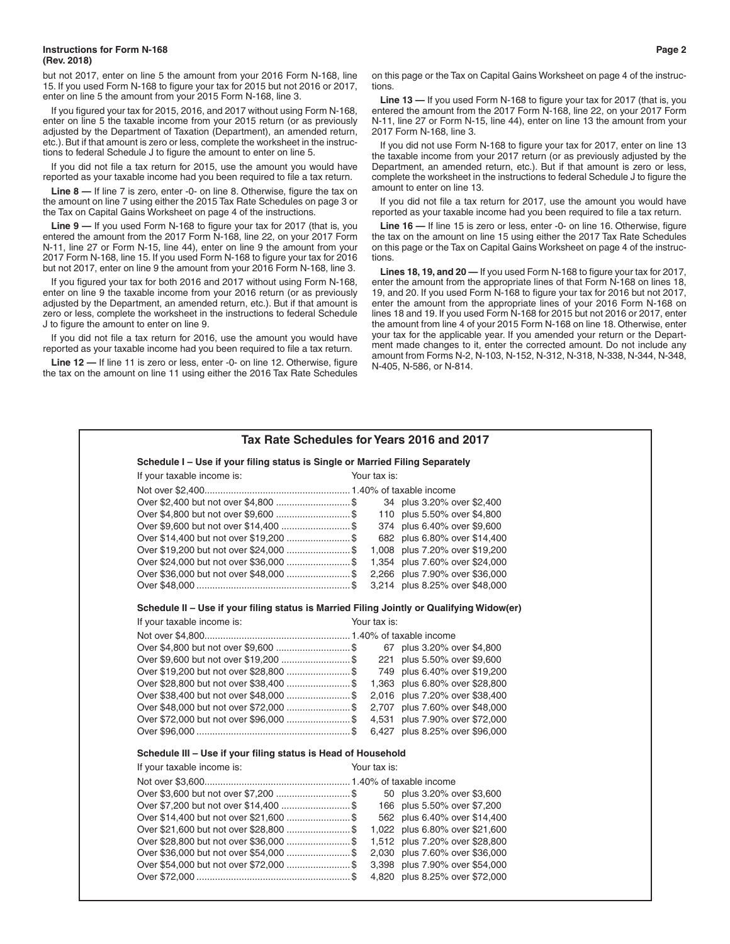#### **Instructions for Form N-168 Page 2 (Rev. 2018)**

but not 2017, enter on line 5 the amount from your 2016 Form N-168, line 15. If you used Form N-168 to figure your tax for 2015 but not 2016 or 2017, enter on line 5 the amount from your 2015 Form N-168, line 3.

If you figured your tax for 2015, 2016, and 2017 without using Form N-168, enter on line 5 the taxable income from your 2015 return (or as previously adjusted by the Department of Taxation (Department), an amended return, etc.). But if that amount is zero or less, complete the worksheet in the instructions to federal Schedule J to figure the amount to enter on line 5.

If you did not file a tax return for 2015, use the amount you would have reported as your taxable income had you been required to file a tax return.

**Line 8 —** If line 7 is zero, enter -0- on line 8. Otherwise, figure the tax on the amount on line 7 using either the 2015 Tax Rate Schedules on page 3 or the Tax on Capital Gains Worksheet on page 4 of the instructions.

**Line 9 —** If you used Form N-168 to figure your tax for 2017 (that is, you entered the amount from the 2017 Form N-168, line 22, on your 2017 Form N-11, line 27 or Form N-15, line 44), enter on line 9 the amount from your 2017 Form N-168, line 15. If you used Form N-168 to figure your tax for 2016 but not 2017, enter on line 9 the amount from your 2016 Form N-168, line 3.

If you figured your tax for both 2016 and 2017 without using Form N-168, enter on line 9 the taxable income from your 2016 return (or as previously adjusted by the Department, an amended return, etc.). But if that amount is zero or less, complete the worksheet in the instructions to federal Schedule J to figure the amount to enter on line 9.

If you did not file a tax return for 2016, use the amount you would have reported as your taxable income had you been required to file a tax return.

**Line 12 —** If line 11 is zero or less, enter -0- on line 12. Otherwise, figure the tax on the amount on line 11 using either the 2016 Tax Rate Schedules

on this page or the Tax on Capital Gains Worksheet on page 4 of the instructions.

**Line 13 —** If you used Form N-168 to figure your tax for 2017 (that is, you entered the amount from the 2017 Form N-168, line 22, on your 2017 Form N-11, line 27 or Form N-15, line 44), enter on line 13 the amount from your 2017 Form N-168, line 3.

If you did not use Form N-168 to figure your tax for 2017, enter on line 13 the taxable income from your 2017 return (or as previously adjusted by the Department, an amended return, etc.). But if that amount is zero or less, complete the worksheet in the instructions to federal Schedule J to figure the amount to enter on line 13.

If you did not file a tax return for 2017, use the amount you would have reported as your taxable income had you been required to file a tax return.

**Line 16 —** If line 15 is zero or less, enter -0- on line 16. Otherwise, figure the tax on the amount on line 15 using either the 2017 Tax Rate Schedules on this page or the Tax on Capital Gains Worksheet on page 4 of the instructions.

**Lines 18, 19, and 20 —** If you used Form N-168 to figure your tax for 2017, enter the amount from the appropriate lines of that Form N-168 on lines 18, 19, and 20. If you used Form N-168 to figure your tax for 2016 but not 2017, enter the amount from the appropriate lines of your 2016 Form N-168 on lines 18 and 19. If you used Form N-168 for 2015 but not 2016 or 2017, enter the amount from line 4 of your 2015 Form N-168 on line 18. Otherwise, enter your tax for the applicable year. If you amended your return or the Department made changes to it, enter the corrected amount. Do not include any amount from Forms N-2, N-103, N-152, N-312, N-318, N-338, N-344, N-348, N-405, N-586, or N-814.

| Schedule I - Use if your filing status is Single or Married Filing Separately             |              |              |                                |  |  |
|-------------------------------------------------------------------------------------------|--------------|--------------|--------------------------------|--|--|
| If your taxable income is:                                                                | Your tax is: |              |                                |  |  |
|                                                                                           |              |              |                                |  |  |
| Over \$2,400 but not over \$4,800  \$                                                     |              |              | 34 plus 3.20% over \$2,400     |  |  |
|                                                                                           |              |              | 110 plus 5.50% over \$4,800    |  |  |
| Over \$9,600 but not over \$14,400  \$                                                    |              |              | 374 plus 6.40% over \$9,600    |  |  |
|                                                                                           |              |              | 682 plus 6.80% over \$14,400   |  |  |
| Over \$19,200 but not over \$24,000  \$                                                   |              |              | 1,008 plus 7.20% over \$19,200 |  |  |
|                                                                                           |              |              | 1,354 plus 7.60% over \$24,000 |  |  |
| Over \$36,000 but not over \$48,000  \$                                                   |              |              | 2,266 plus 7.90% over \$36,000 |  |  |
|                                                                                           |              |              | 3,214 plus 8.25% over \$48,000 |  |  |
| Schedule II - Use if your filing status is Married Filing Jointly or Qualifying Widow(er) |              |              |                                |  |  |
| If your taxable income is:                                                                |              | Your tax is: |                                |  |  |
|                                                                                           |              |              |                                |  |  |
|                                                                                           |              |              | 67 plus 3.20% over \$4,800     |  |  |
| Over \$9,600 but not over \$19,200  \$                                                    |              |              | 221 plus 5.50% over \$9,600    |  |  |
| Over \$19,200 but not over \$28,800  \$                                                   |              |              | 749 plus 6.40% over \$19,200   |  |  |
| Over \$28,800 but not over \$38,400  \$                                                   |              |              | 1,363 plus 6.80% over \$28,800 |  |  |
| Over \$38,400 but not over \$48,000  \$                                                   |              |              | 2,016 plus 7.20% over \$38,400 |  |  |
| Over \$48,000 but not over \$72,000  \$                                                   |              |              | 2,707 plus 7.60% over \$48,000 |  |  |
| Over \$72,000 but not over \$96,000  \$                                                   |              |              | 4,531 plus 7.90% over \$72,000 |  |  |
|                                                                                           |              |              | 6,427 plus 8.25% over \$96,000 |  |  |
| Schedule III - Use if your filing status is Head of Household                             |              |              |                                |  |  |
| If your taxable income is:                                                                | Your tax is: |              |                                |  |  |
|                                                                                           |              |              |                                |  |  |
|                                                                                           |              |              | 50 plus 3.20% over \$3,600     |  |  |
|                                                                                           |              |              | 166 plus 5.50% over \$7,200    |  |  |
|                                                                                           |              |              | 562 plus 6.40% over \$14,400   |  |  |
| Over \$21,600 but not over \$28,800  \$                                                   |              |              | 1,022 plus 6.80% over \$21,600 |  |  |
|                                                                                           |              |              | 1,512 plus 7.20% over \$28,800 |  |  |
| Over \$36,000 but not over \$54,000  \$                                                   |              |              | 2,030 plus 7.60% over \$36,000 |  |  |
| Over \$54,000 but not over \$72,000  \$                                                   |              |              | 3,398 plus 7.90% over \$54,000 |  |  |
|                                                                                           |              |              | 4,820 plus 8.25% over \$72,000 |  |  |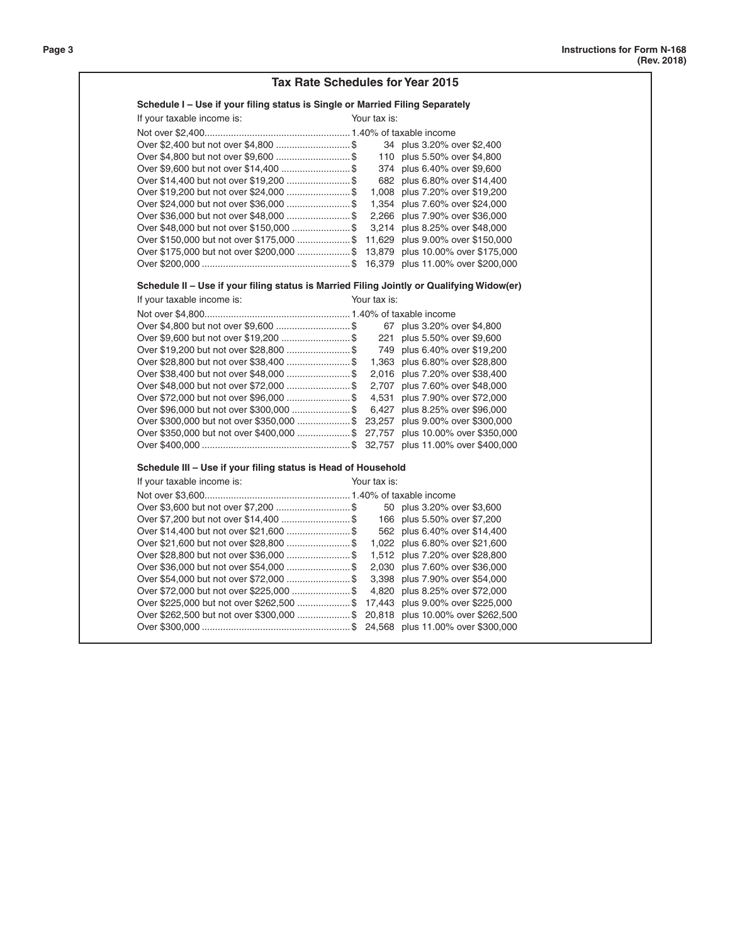|                                                                                           | <b>Tax Rate Schedules for Year 2015</b> |
|-------------------------------------------------------------------------------------------|-----------------------------------------|
| Schedule I - Use if your filing status is Single or Married Filing Separately             |                                         |
| If your taxable income is:                                                                | Your tax is:                            |
|                                                                                           |                                         |
|                                                                                           | 34 plus 3.20% over \$2,400              |
|                                                                                           | 110 plus 5.50% over \$4,800             |
|                                                                                           | 374 plus 6.40% over \$9,600             |
| Over \$14,400 but not over \$19,200  \$                                                   | 682 plus 6.80% over \$14,400            |
| Over \$19,200 but not over \$24,000 \$ 1,008 plus 7.20% over \$19,200                     |                                         |
| Over \$24,000 but not over \$36,000  \$ 1,354 plus 7.60% over \$24,000                    |                                         |
| Over \$36,000 but not over \$48,000 \$ 2,266 plus 7.90% over \$36,000                     |                                         |
| Over \$48,000 but not over \$150,000 \$ 3,214 plus 8.25% over \$48,000                    |                                         |
| Over \$150,000 but not over \$175,000 \$ 11,629 plus 9.00% over \$150,000                 |                                         |
| Over \$175,000 but not over \$200,000  \$ 13,879 plus 10.00% over \$175,000               |                                         |
|                                                                                           |                                         |
| Schedule II - Use if your filing status is Married Filing Jointly or Qualifying Widow(er) |                                         |
| If your taxable income is:                                                                | Your tax is:                            |
|                                                                                           |                                         |
|                                                                                           | 67 plus 3.20% over \$4,800              |
|                                                                                           | 221 plus 5.50% over \$9,600             |
| Over \$19,200 but not over \$28,800  \$                                                   | 749 plus 6.40% over \$19,200            |
|                                                                                           |                                         |
| Over \$38,400 but not over \$48,000  \$ 2,016 plus 7.20% over \$38,400                    |                                         |
| Over \$48,000 but not over \$72,000  \$ 2,707 plus 7.60% over \$48,000                    |                                         |
| Over \$72,000 but not over \$96,000  \$ 4,531 plus 7.90% over \$72,000                    |                                         |
| Over \$96,000 but not over \$300,000  \$ 6,427 plus 8.25% over \$96,000                   |                                         |
| Over \$300,000 but not over \$350,000 \$ 23,257 plus 9.00% over \$300,000                 |                                         |
| Over \$350,000 but not over \$400,000  \$ 27,757 plus 10.00% over \$350,000               |                                         |
|                                                                                           |                                         |
| Schedule III - Use if your filing status is Head of Household                             |                                         |
| If your taxable income is:                                                                | Your tax is:                            |
|                                                                                           |                                         |
|                                                                                           | 50 plus 3.20% over \$3,600              |
|                                                                                           | 166 plus 5.50% over \$7,200             |
| Over \$14,400 but not over \$21,600  \$                                                   | 562 plus 6.40% over \$14,400            |
| Over \$21,600 but not over \$28,800  \$                                                   | 1,022 plus 6.80% over \$21,600          |
|                                                                                           | 1,512 plus 7.20% over \$28,800          |
| Over \$36,000 but not over \$54,000 \$ 2,030 plus 7.60% over \$36,000                     |                                         |
| Over \$54,000 but not over \$72,000 \$ 3,398 plus 7.90% over \$54,000                     |                                         |
| Over \$72,000 but not over \$225,000 \$ 4,820 plus 8.25% over \$72,000                    |                                         |
| Over \$225,000 but not over \$262,500 \$ 17,443 plus 9.00% over \$225,000                 |                                         |
|                                                                                           |                                         |
| Over \$262,500 but not over \$300,000 \$ 20,818 plus 10.00% over \$262,500                |                                         |